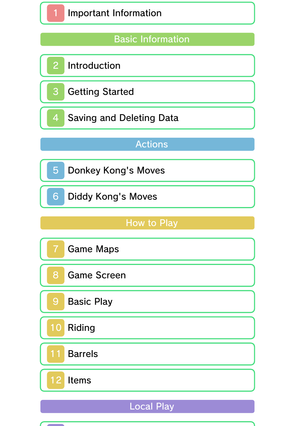## Basic Information



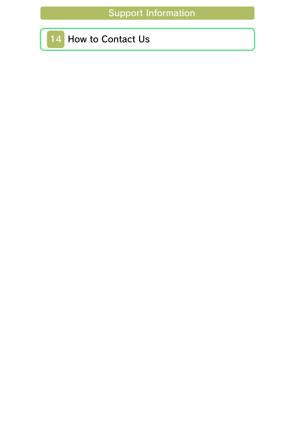## Support Information



## 14 How to Contact Us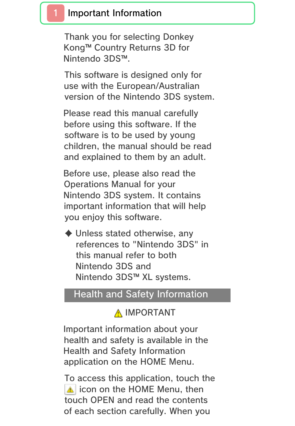#### 1 Important Information

Thank you for selecting Donkey Kong™ Country Returns 3D for Nintendo 3DS™.

This software is designed only for use with the European/Australian version of the Nintendo 3DS system.

Please read this manual carefully before using this software. If the software is to be used by young children, the manual should be read and explained to them by an adult.

Before use, please also read the Operations Manual for your Nintendo 3DS system. It contains important information that will help you enjoy this software.

 $\blacklozenge$  Unless stated otherwise, any references to "Nintendo 3DS" in this manual refer to both Nintendo 3DS and Nintendo 3DS™ XL systems.

#### Health and Safety Information

#### A IMPORTANT

Important information about your health and safety is available in the Health and Safety Information application on the HOME Menu.

To access this application, touch the **i** icon on the HOME Menu, then touch OPEN and read the contents of each section carefully. When you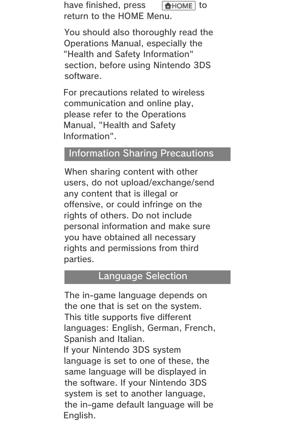have finished, press  $\theta$   $\theta$  HOME to return to the HOME Menu.

You should also thoroughly read the Operations Manual, especially the "Health and Safety Information" section, before using Nintendo 3DS software.

For precautions related to wireless communication and online play, please refer to the Operations Manual, "Health and Safety Information".

#### Information Sharing Precautions

When sharing content with other users, do not upload/exchange/send any content that is illegal or offensive, or could infringe on the rights of others. Do not include personal information and make sure you have obtained all necessary rights and permissions from third parties.

#### Language Selection

The in-game language depends on the one that is set on the system. This title supports five different languages: English, German, French, Spanish and Italian. If your Nintendo 3DS system language is set to one of these, the same language will be displayed in the software. If your Nintendo 3DS system is set to another language, the in-game default language will be English.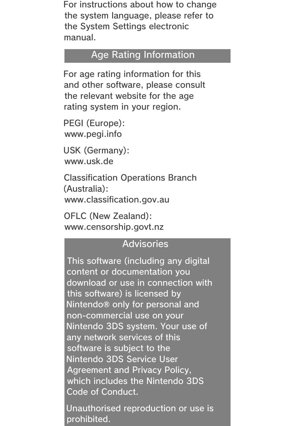For instructions about how to change the system language, please refer to the System Settings electronic manual.

#### Age Rating Information

For age rating information for this and other software, please consult the relevant website for the age rating system in your region.

www.pegi.info PEGI (Europe):

USK (Germany): www.usk.de

Classification Operations Branch (Australia): www.classification.gov.au

OFLC (New Zealand): www.censorship.govt.nz

#### **Advisories**

This software (including any digital content or documentation you download or use in connection with this software) is licensed by Nintendo® only for personal and non-commercial use on your Nintendo 3DS system. Your use of any network services of this software is subject to the Nintendo 3DS Service User Agreement and Privacy Policy, which includes the Nintendo 3DS Code of Conduct.

Unauthorised reproduction or use is prohibited.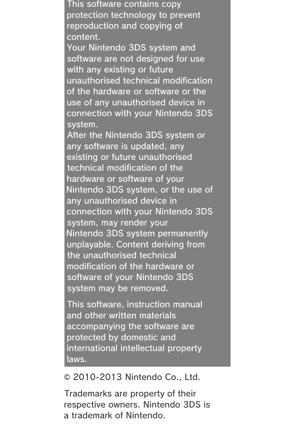This software contains copy protection technology to prevent reproduction and copying of content.

Your Nintendo 3DS system and software are not designed for use with any existing or future unauthorised technical modification of the hardware or software or the use of any unauthorised device in connection with your Nintendo 3DS system.

After the Nintendo 3DS system or any software is updated, any existing or future unauthorised technical modification of the hardware or software of your Nintendo 3DS system, or the use of any unauthorised device in connection with your Nintendo 3DS system, may render your Nintendo 3DS system permanently unplayable. Content deriving from the unauthorised technical modification of the hardware or software of your Nintendo 3DS system may be removed.

This software, instruction manual and other written materials accompanying the software are protected by domestic and international intellectual property laws.

© 2010-2013 Nintendo Co., Ltd.

Trademarks are property of their respective owners. Nintendo 3DS is a trademark of Nintendo.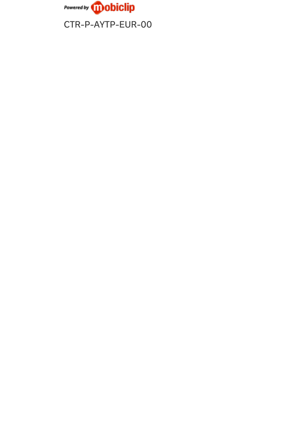

CTR-P-AYTP-EUR-00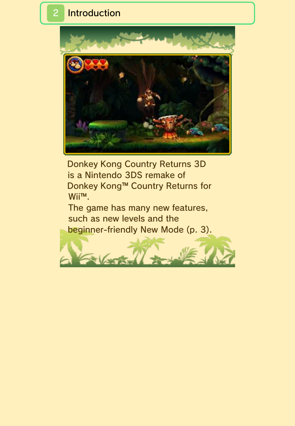#### 2 Introduction



Donkey Kong Country Returns 3D is a Nintendo 3DS remake of Donkey Kong™ Country Returns for Wii™.

The game has many new features, such as new levels and the beginner-friendly New Mode (p. 3).

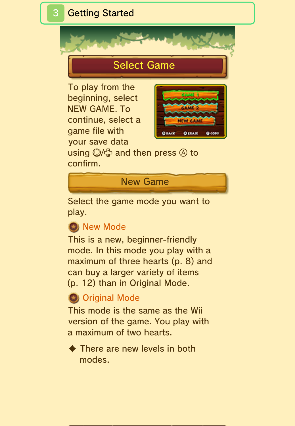## 3 Getting Started



To play from the beginning, select NEW GAME. To continue, select a game file with your save data



using  $\bigcirc$  / $\bigcirc$  and then press  $\bigcirc$  to confirm.

New Game

Select the game mode you want to play.

## **O** New Mode

This is a new, beginner-friendly mode. In this mode you play with a maximum of three hearts (p. 8) and can buy a larger variety of items (p. 12) than in Original Mode.

## **O** Original Mode

This mode is the same as the Wii version of the game. You play with a maximum of two hearts.

 $\blacklozenge$  There are new levels in both modes.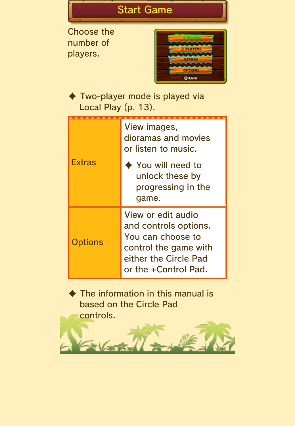## Start Game

Choose the number of players.



♦ Two-player mode is played via Local Play (p. 13).

|                | View images,<br>dioramas and movies<br>or listen to music.                                                                                 |
|----------------|--------------------------------------------------------------------------------------------------------------------------------------------|
| <b>Extras</b>  | $\blacklozenge$ You will need to<br>unlock these by<br>progressing in the<br>game.                                                         |
| <b>Options</b> | View or edit audio<br>and controls options.<br>You can choose to<br>control the game with<br>either the Circle Pad<br>or the +Control Pad. |

 $\blacklozenge$  The information in this manual is based on the Circle Pad controls.

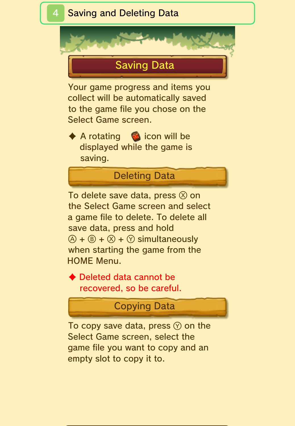#### 4 Saving and Deleting Data



Your game progress and items you collect will be automatically saved to the game file you chose on the Select Game screen.

 $\blacklozenge$  A rotating  $\blacklozenge$  icon will be displayed while the game is saving.

#### Deleting Data

To delete save data, press  $\otimes$  on the Select Game screen and select a game file to delete. To delete all save data, press and hold  $\textcircled{4} + \textcircled{5} + \textcircled{7} + \textcircled{7}$  simultaneously when starting the game from the HOME Menu.

◆ Deleted data cannot be recovered, so be careful.

Copying Data

To copy save data, press  $\heartsuit$  on the Select Game screen, select the game file you want to copy and an empty slot to copy it to.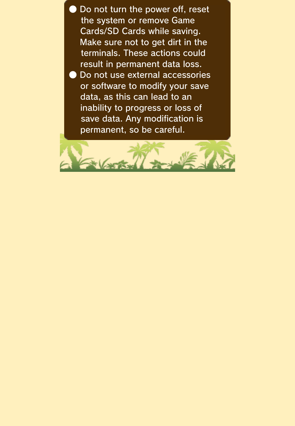● Do not turn the power off, reset the system or remove Game Cards/SD Cards while saving. Make sure not to get dirt in the terminals. These actions could result in permanent data loss. ● Do not use external accessories or software to modify your save data, as this can lead to an inability to progress or loss of save data. Any modification is permanent, so be careful.

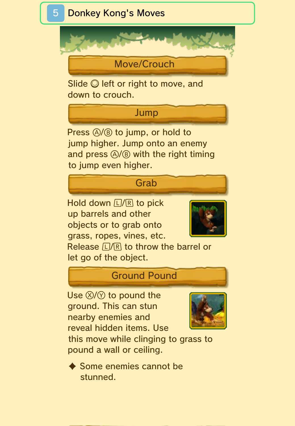## 5 Donkey Kong's Moves



Slide  $\bigcirc$  left or right to move, and down to crouch.

#### Jump

Press  $\circledA/\circledB$  to jump, or hold to jump higher. Jump onto an enemy and press  $\circledA/\circledB$  with the right timing to jump even higher.

#### Grab

Hold down  $L/R$  to pick up barrels and other objects or to grab onto grass, ropes, vines, etc.



Release  $\Box/\Box$  to throw the barrel or let go of the object.

#### Ground Pound

Use  $\mathcal{D}/\mathcal{D}$  to pound the ground. This can stun nearby enemies and reveal hidden items. Use



this move while clinging to grass to pound a wall or ceiling.



♦ Some enemies cannot be stunned.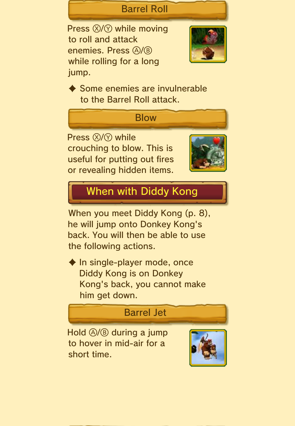## Barrel Roll

Press  $\mathcal{B}/\mathcal{D}$  while moving to roll and attack enemies. Press  $(A/B)$ while rolling for a long jump.



 $\triangle$  Some enemies are invulnerable to the Barrel Roll attack.

#### **Blow**

Press  $\mathcal{D}/\mathcal{D}$  while crouching to blow. This is useful for putting out fires or revealing hidden items.



## When with Diddy Kong

When you meet Diddy Kong (p. 8), he will jump onto Donkey Kong's back. You will then be able to use the following actions.

♦ In single-player mode, once Diddy Kong is on Donkey Kong's back, you cannot make him get down.

#### Barrel Jet

Hold  $\bigcircled{A/B}$  during a jump to hover in mid-air for a short time.

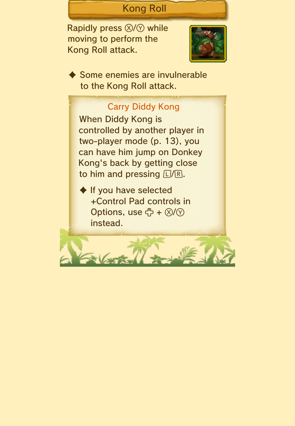### Kong Roll

Rapidly press  $\otimes$ / $\circledcirc$  while moving to perform the Kong Roll attack.



 $\blacklozenge$  Some enemies are invulnerable to the Kong Roll attack.

### Carry Diddy Kong

When Diddy Kong is controlled by another player in two-player mode (p. 13), you can have him jump on Donkey Kong's back by getting close to him and pressing  $\Box / \Box$ .

♦ If you have selected +Control Pad controls in Options, use  $P + \otimes / \otimes$ instead.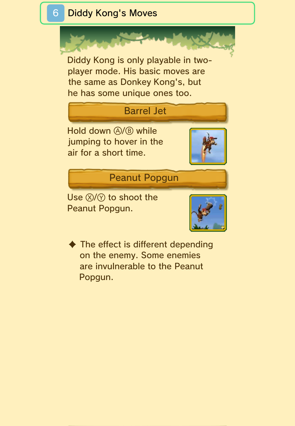## 6 Diddy Kong's Moves

Diddy Kong is only playable in twoplayer mode. His basic moves are the same as Donkey Kong's, but he has some unique ones too.

#### Barrel Jet

Hold down  $\bigcircled{\color{red} \beta}/\mathbb{B}$  while jumping to hover in the air for a short time.



## Peanut Popgun

Use  $\mathcal{D}/\mathcal{D}$  to shoot the Peanut Popgun.



 $\blacklozenge$  The effect is different depending on the enemy. Some enemies are invulnerable to the Peanut Popgun.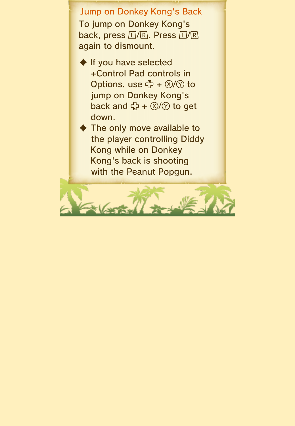To jump on Donkey Kong's back, press  $\square / \square$ . Press  $\square / \square$ again to dismount. Jump on Donkey Kong's Back

- ♦ If you have selected +Control Pad controls in Options, use  $\oplus$  +  $\otimes$ / $\otimes$  to jump on Donkey Kong's back and  $\bigoplus + \bigotimes / \bigotimes$  to get down.
- $\blacklozenge$  The only move available to the player controlling Diddy Kong while on Donkey Kong's back is shooting with the Peanut Popgun.

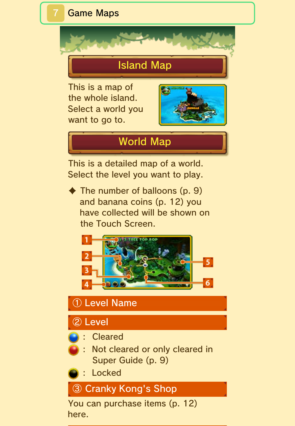## **Game Maps**



This is a map of the whole island. Select a world you want to go to.



## World Map

This is a detailed map of a world. Select the level you want to play.



 $\blacklozenge$  The number of balloons (p. 9) and banana coins (p. 12) you have collected will be shown on the Touch Screen.



## ① Level Name

#### ② Level

- **Cleared** 
	- Not cleared or only cleared in Super Guide (p. 9)
- : Locked

### ③ Cranky Kong's Shop

You can purchase items (p. 12) here.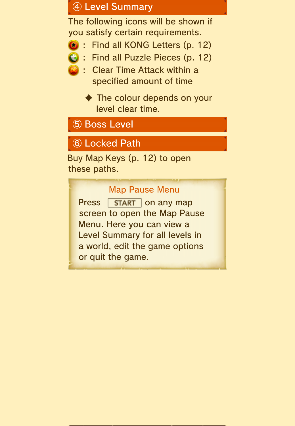## ④ Level Summary

The following icons will be shown if you satisfy certain requirements.

- **6** Find all KONG Letters (p. 12)
- **3** Find all Puzzle Pieces (p. 12)
	- **8** : Clear Time Attack within a specified amount of time
		- ♦ The colour depends on your level clear time.

⑤ Boss Level

#### ⑥ Locked Path

Buy Map Keys (p. 12) to open these paths.

Press **START** on any map screen to open the Map Pause Map Pause Menu

Menu. Here you can view a Level Summary for all levels in a world, edit the game options or quit the game.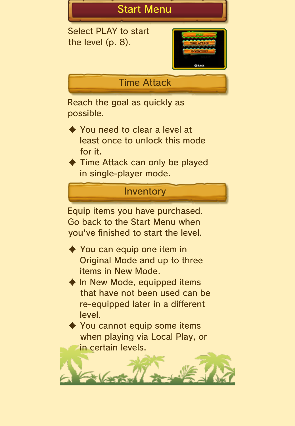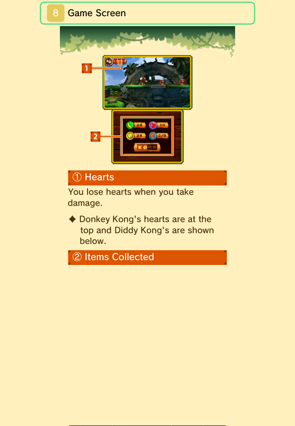## 8 Game Screen



## ① Hearts

You lose hearts when you take damage.

♦ Donkey Kong's hearts are at the top and Diddy Kong's are shown below.

② Items Collected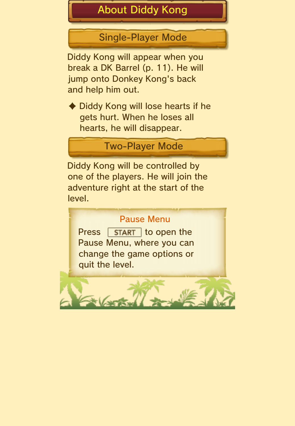## About Diddy Kong

#### Single-Player Mode

Diddy Kong will appear when you break a DK Barrel (p. 11). He will jump onto Donkey Kong's back and help him out.

♦ Diddy Kong will lose hearts if he gets hurt. When he loses all hearts, he will disappear.

#### Two-Player Mode

Diddy Kong will be controlled by one of the players. He will join the adventure right at the start of the level.

#### Pause Menu

Press  $\sqrt{s}$  START to open the Pause Menu, where you can change the game options or quit the level.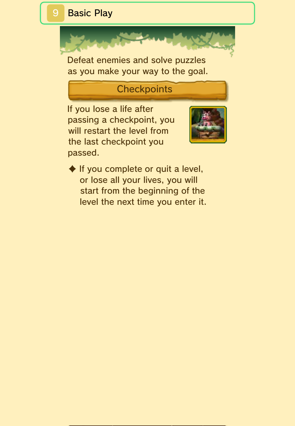Defeat enemies and solve puzzles as you make your way to the goal.

#### **Checkpoints**

If you lose a life after passing a checkpoint, you will restart the level from the last checkpoint you passed.



 $\blacklozenge$  If you complete or quit a level, or lose all your lives, you will start from the beginning of the level the next time you enter it.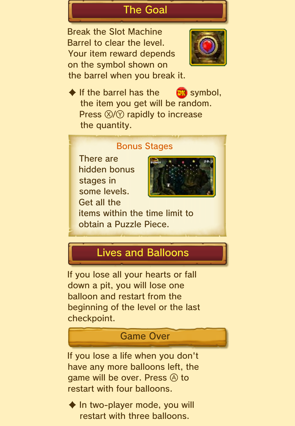## The Goal

Break the Slot Machine Barrel to clear the level. Your item reward depends on the symbol shown on the barrel when you break it.



 $\blacklozenge$  If the barrel has the  $\Box$  symbol, the item you get will be random. Press  $\circledX/\circlearrowright$  rapidly to increase the quantity.

#### Bonus Stages

There are hidden bonus stages in some levels. Get all the



items within the time limit to obtain a Puzzle Piece.

#### Lives and Balloons

If you lose all your hearts or fall down a pit, you will lose one balloon and restart from the beginning of the level or the last checkpoint.

#### Game Over

If you lose a life when you don't have any more balloons left, the game will be over. Press  $\circledA$  to restart with four balloons.



 $\blacklozenge$  In two-player mode, you will restart with three balloons.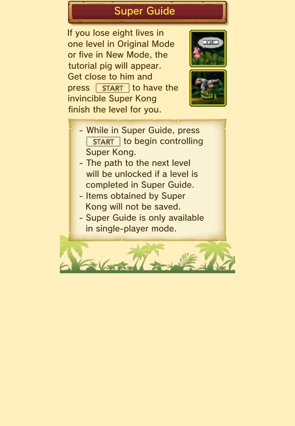## Super Guide

If you lose eight lives in one level in Original Mode or five in New Mode, the tutorial pig will appear. Get close to him and press  $\sqrt{START}$  to have the invincible Super Kong finish the level for you.





- While in Super Guide, press **START** to begin controlling Super Kong.
- The path to the next level will be unlocked if a level is completed in Super Guide.
- Items obtained by Super Kong will not be saved.
- Super Guide is only available in single-player mode.

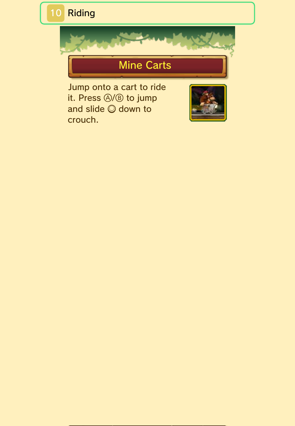## 10 Riding



Jump onto a cart to ride it. Press  $\circledA/\circledB$  to jump and slide  $\bigcirc$  down to crouch.

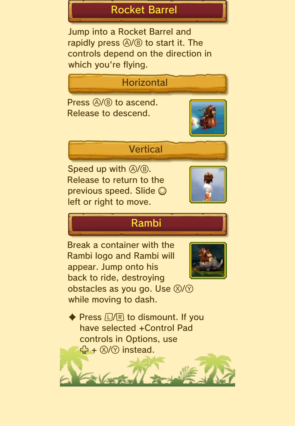## Rocket Barrel

Jump into a Rocket Barrel and rapidly press  $\circledA/\circledB$  to start it. The controls depend on the direction in which you're flying.

### **Horizontal**

Press  $\circledA/\circledB$  to ascend. Release to descend.



#### **Vertical**

Speed up with  $\bigcircled{0}/\mathbb{B}$ . Release to return to the previous speed. Slide left or right to move.



## Rambi

Break a container with the Rambi logo and Rambi will appear. Jump onto his back to ride, destroying obstacles as you go. Use  $\mathcal{D}/\mathcal{D}$ while moving to dash.



 $\blacklozenge$  Press  $\Box/\Box$  to dismount. If you have selected +Control Pad controls in Options, use  $\bigoplus$  +  $\mathcal{D}/\mathcal{D}$  instead.

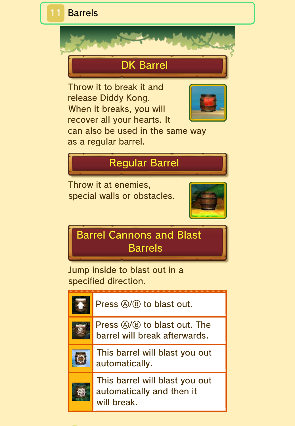## 11 Barrels



Throw it to break it and release Diddy Kong. When it breaks, you will recover all your hearts. It



can also be used in the same way as a regular barrel.

## Regular Barrel

Throw it at enemies, special walls or obstacles.



## Barrel Cannons and Blast Barrels

Jump inside to blast out in a specified direction.

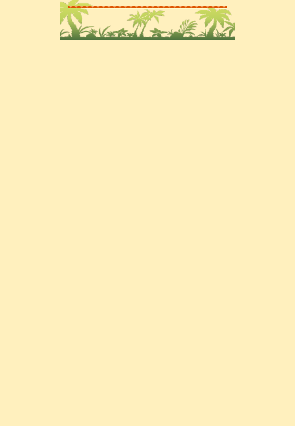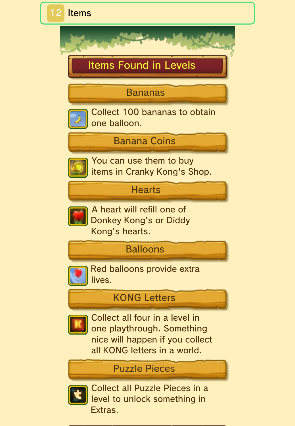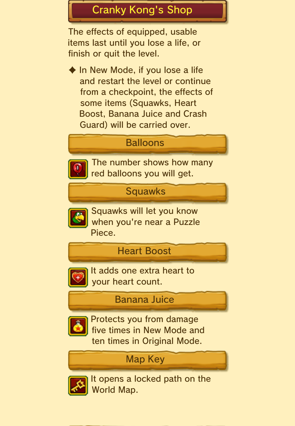## Cranky Kong's Shop

The effects of equipped, usable items last until you lose a life, or finish or quit the level.

 $\blacklozenge$  In New Mode, if you lose a life and restart the level or continue from a checkpoint, the effects of some items (Squawks, Heart Boost, Banana Juice and Crash Guard) will be carried over.

## Balloons



The number shows how many red balloons you will get.

### Squawks



Squawks will let you know when you're near a Puzzle Piece.

## Heart Boost



It adds one extra heart to your heart count.

## Banana Juice



Protects you from damage five times in New Mode and ten times in Original Mode.

## Map Key



It opens a locked path on the World Map.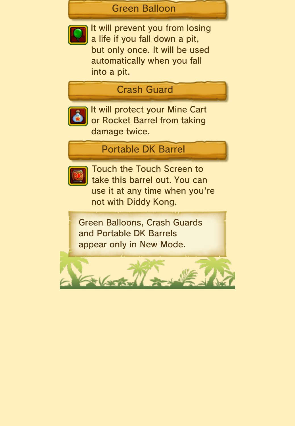#### Green Balloon



It will prevent you from losing a life if you fall down a pit, but only once. It will be used automatically when you fall into a pit.

#### Crash Guard



It will protect your Mine Cart or Rocket Barrel from taking damage twice.

#### Portable DK Barrel



Touch the Touch Screen to take this barrel out. You can use it at any time when you're not with Diddy Kong.

Green Balloons, Crash Guards and Portable DK Barrels appear only in New Mode.

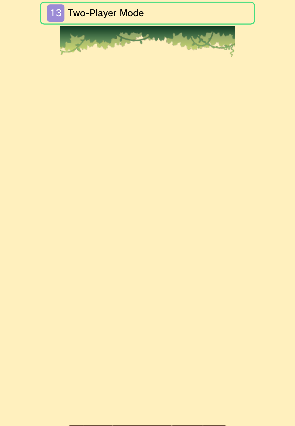# 13 Two-Player Mode

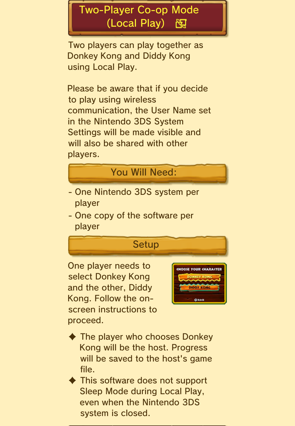#### Two-Player Co-op Mode (Local Play) 阅

Two players can play together as Donkey Kong and Diddy Kong using Local Play.

Please be aware that if you decide to play using wireless communication, the User Name set in the Nintendo 3DS System Settings will be made visible and will also be shared with other players.

## You Will Need:

- One Nintendo 3DS system per player
- One copy of the software per player

### **Setup**

One player needs to select Donkey Kong and the other, Diddy Kong. Follow the onscreen instructions to proceed.



- ◆ The player who chooses Donkey Kong will be the host. Progress will be saved to the host's game file.
- ♦ This software does not support Sleep Mode during Local Play, even when the Nintendo 3DS system is closed.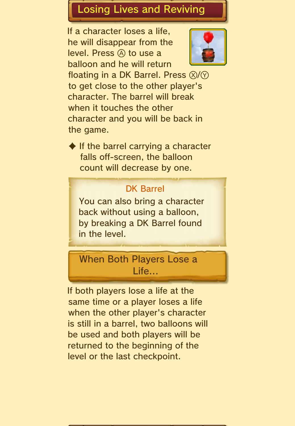## Losing Lives and Reviving

If a character loses a life, he will disappear from the level. Press  $\circledA$  to use a balloon and he will return



floating in a DK Barrel. Press  $\mathcal{D}/\mathcal{D}$ to get close to the other player's character. The barrel will break when it touches the other character and you will be back in the game.

 $\blacklozenge$  If the barrel carrying a character falls off-screen, the balloon count will decrease by one.

#### DK Barrel

You can also bring a character back without using a balloon, by breaking a DK Barrel found in the level.

#### When Both Players Lose a Life...

If both players lose a life at the same time or a player loses a life when the other player's character is still in a barrel, two balloons will be used and both players will be returned to the beginning of the level or the last checkpoint.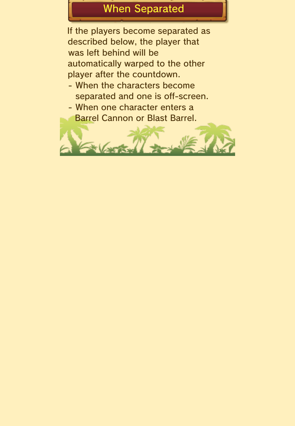## When Separated

If the players become separated as described below, the player that was left behind will be automatically warped to the other player after the countdown.

- When the characters become separated and one is off-screen.
- When one character enters a Barrel Cannon or Blast Barrel.